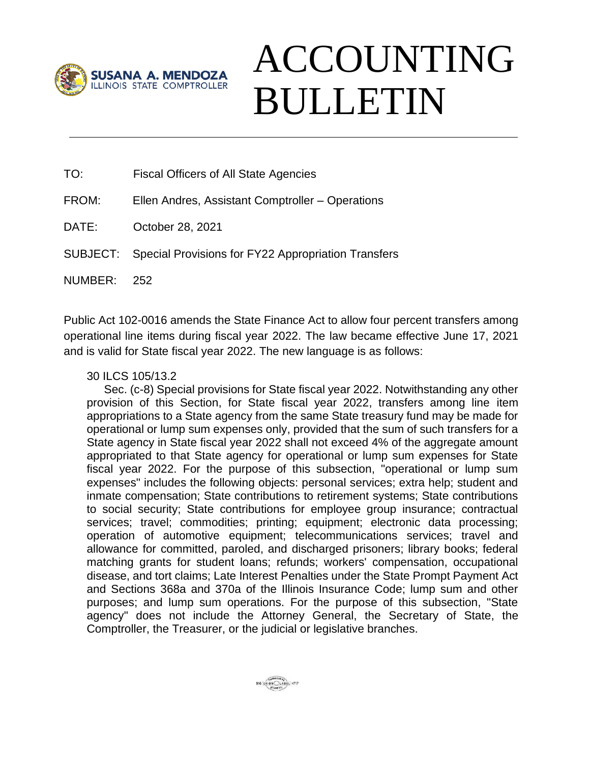

## ACCOUNTING BULLETIN

TO: Fiscal Officers of All State Agencies

FROM: Ellen Andres, Assistant Comptroller – Operations

DATE: October 28, 2021

SUBJECT: Special Provisions for FY22 Appropriation Transfers

NUMBER: 252

Public Act 102-0016 amends the State Finance Act to allow four percent transfers among operational line items during fiscal year 2022. The law became effective June 17, 2021 and is valid for State fiscal year 2022. The new language is as follows:

## 30 ILCS 105/13.2

Sec. (c-8) Special provisions for State fiscal year 2022. Notwithstanding any other provision of this Section, for State fiscal year 2022, transfers among line item appropriations to a State agency from the same State treasury fund may be made for operational or lump sum expenses only, provided that the sum of such transfers for a State agency in State fiscal year 2022 shall not exceed 4% of the aggregate amount appropriated to that State agency for operational or lump sum expenses for State fiscal year 2022. For the purpose of this subsection, "operational or lump sum expenses" includes the following objects: personal services; extra help; student and inmate compensation; State contributions to retirement systems; State contributions to social security; State contributions for employee group insurance; contractual services; travel; commodities; printing; equipment; electronic data processing; operation of automotive equipment; telecommunications services; travel and allowance for committed, paroled, and discharged prisoners; library books; federal matching grants for student loans; refunds; workers' compensation, occupational disease, and tort claims; Late Interest Penalties under the State Prompt Payment Act and Sections 368a and 370a of the Illinois Insurance Code; lump sum and other purposes; and lump sum operations. For the purpose of this subsection, "State agency" does not include the Attorney General, the Secretary of State, the Comptroller, the Treasurer, or the judicial or legislative branches.